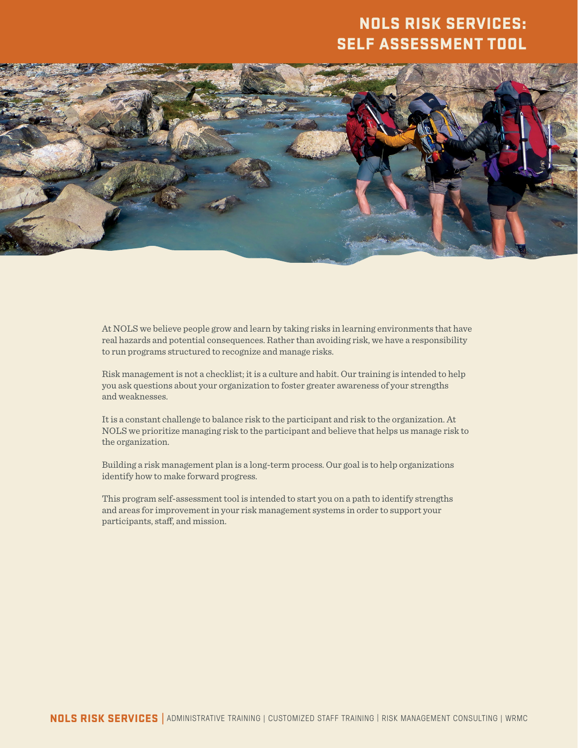## NOLS RISK SERVICES: SELF ASSESSMENT TOOL



At NOLS we believe people grow and learn by taking risks in learning environments that have real hazards and potential consequences. Rather than avoiding risk, we have a responsibility to run programs structured to recognize and manage risks.

Risk management is not a checklist; it is a culture and habit. Our training is intended to help you ask questions about your organization to foster greater awareness of your strengths and weaknesses.

It is a constant challenge to balance risk to the participant and risk to the organization. At NOLS we prioritize managing risk to the participant and believe that helps us manage risk to the organization.

Building a risk management plan is a long-term process. Our goal is to help organizations identify how to make forward progress.

This program self-assessment tool is intended to start you on a path to identify strengths and areas for improvement in your risk management systems in order to support your participants, staff, and mission.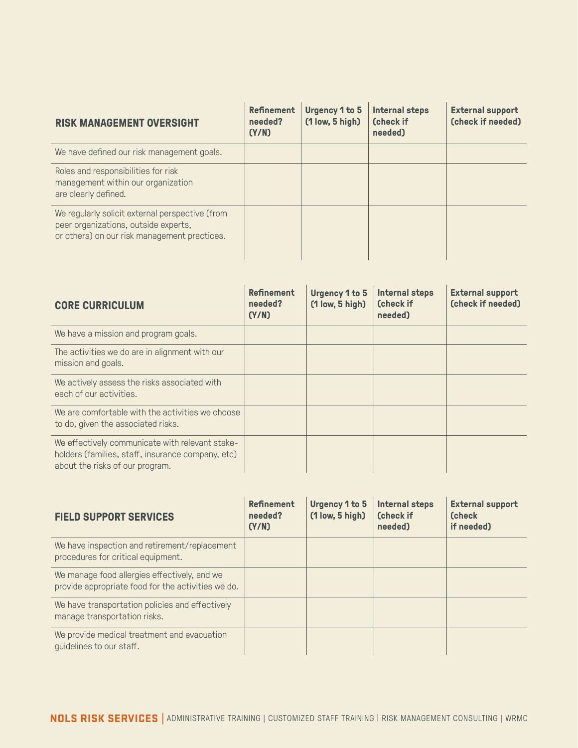| <b>RISK MANAGEMENT OVERSIGHT</b>                                                                                                        | Refinement<br>needed?<br>(Y/N) | Urgency 1 to 5<br>$(1$ low, 5 high) | <b>Internal steps</b><br>(check if<br>needed) | <b>External support</b><br>(check if needed) |
|-----------------------------------------------------------------------------------------------------------------------------------------|--------------------------------|-------------------------------------|-----------------------------------------------|----------------------------------------------|
| We have defined our risk management goals.                                                                                              |                                |                                     |                                               |                                              |
| Roles and responsibilities for risk<br>management within our organization<br>are clearly defined.                                       |                                |                                     |                                               |                                              |
| We regularly solicit external perspective (from<br>peer organizations, outside experts,<br>or others) on our risk management practices. |                                |                                     |                                               |                                              |

| <b>CORE CURRICULUM</b>                                                                                                                  | <b>Refinement</b><br>needed?<br>(Y/N) | <b>Urgency 1 to 5</b><br>$(1$ low, 5 high) | <b>Internal steps</b><br><b>(check if</b><br>needed) | <b>External support</b><br>(check if needed) |
|-----------------------------------------------------------------------------------------------------------------------------------------|---------------------------------------|--------------------------------------------|------------------------------------------------------|----------------------------------------------|
| We have a mission and program goals.                                                                                                    |                                       |                                            |                                                      |                                              |
| The activities we do are in alignment with our<br>mission and goals.                                                                    |                                       |                                            |                                                      |                                              |
| We actively assess the risks associated with<br>each of our activities.                                                                 |                                       |                                            |                                                      |                                              |
| We are comfortable with the activities we choose<br>to do, given the associated risks.                                                  |                                       |                                            |                                                      |                                              |
| We effectively communicate with relevant stake-<br>holders (families, staff, insurance company, etc)<br>about the risks of our program. |                                       |                                            |                                                      |                                              |

| <b>FIELD SUPPORT SERVICES</b>                                                                      | <b>Refinement</b><br>needed?<br>(Y/N) | Urgency 1 to 5<br>$(1$ low, 5 high) | Internal steps<br>(check if<br>needed) | <b>External support</b><br><b>Check</b><br>if needed) |
|----------------------------------------------------------------------------------------------------|---------------------------------------|-------------------------------------|----------------------------------------|-------------------------------------------------------|
| We have inspection and retirement/replacement<br>procedures for critical equipment.                |                                       |                                     |                                        |                                                       |
| We manage food allergies effectively, and we<br>provide appropriate food for the activities we do. |                                       |                                     |                                        |                                                       |
| We have transportation policies and effectively<br>manage transportation risks.                    |                                       |                                     |                                        |                                                       |
| We provide medical treatment and evacuation<br>guidelines to our staff.                            |                                       |                                     |                                        |                                                       |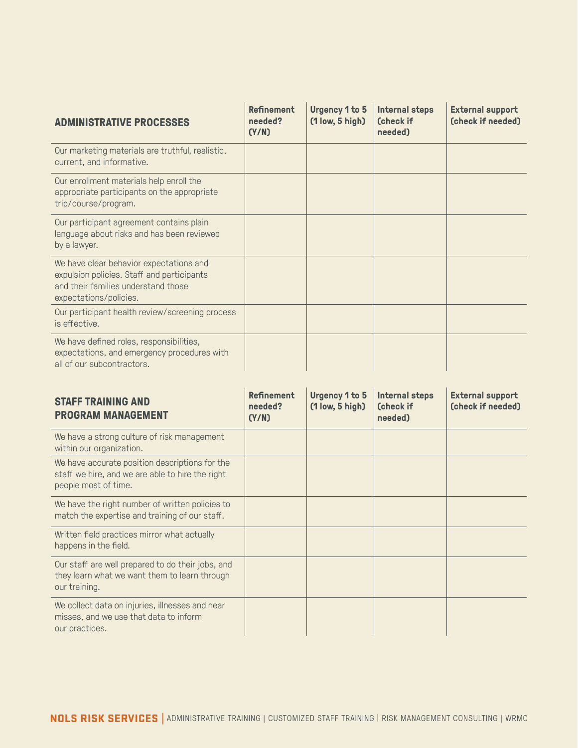| <b>ADMINISTRATIVE PROCESSES</b>                                                                                                                        | <b>Refinement</b><br>needed?<br>(Y/N) | <b>Urgency 1 to 5</b><br>$(1$ low, 5 high) | <b>Internal steps</b><br><b>(check if</b><br>needed) | <b>External support</b><br>(check if needed) |
|--------------------------------------------------------------------------------------------------------------------------------------------------------|---------------------------------------|--------------------------------------------|------------------------------------------------------|----------------------------------------------|
| Our marketing materials are truthful, realistic,<br>current, and informative.                                                                          |                                       |                                            |                                                      |                                              |
| Our enrollment materials help enroll the<br>appropriate participants on the appropriate<br>trip/course/program.                                        |                                       |                                            |                                                      |                                              |
| Our participant agreement contains plain<br>language about risks and has been reviewed<br>by a lawyer.                                                 |                                       |                                            |                                                      |                                              |
| We have clear behavior expectations and<br>expulsion policies. Staff and participants<br>and their families understand those<br>expectations/policies. |                                       |                                            |                                                      |                                              |
| Our participant health review/screening process<br>is effective.                                                                                       |                                       |                                            |                                                      |                                              |
| We have defined roles, responsibilities,<br>expectations, and emergency procedures with<br>all of our subcontractors.                                  |                                       |                                            |                                                      |                                              |

| <b>STAFF TRAINING AND</b><br><b>PROGRAM MANAGEMENT</b>                                                                     | <b>Refinement</b><br>needed?<br>(Y/N) | <b>Urgency 1 to 5</b><br>$(1$ low, 5 high) | <b>Internal steps</b><br>(check if<br>needed) | <b>External support</b><br>(check if needed) |
|----------------------------------------------------------------------------------------------------------------------------|---------------------------------------|--------------------------------------------|-----------------------------------------------|----------------------------------------------|
| We have a strong culture of risk management<br>within our organization.                                                    |                                       |                                            |                                               |                                              |
| We have accurate position descriptions for the<br>staff we hire, and we are able to hire the right<br>people most of time. |                                       |                                            |                                               |                                              |
| We have the right number of written policies to<br>match the expertise and training of our staff.                          |                                       |                                            |                                               |                                              |
| Written field practices mirror what actually<br>happens in the field.                                                      |                                       |                                            |                                               |                                              |
| Our staff are well prepared to do their jobs, and<br>they learn what we want them to learn through<br>our training.        |                                       |                                            |                                               |                                              |
| We collect data on injuries, illnesses and near<br>misses, and we use that data to inform<br>our practices.                |                                       |                                            |                                               |                                              |